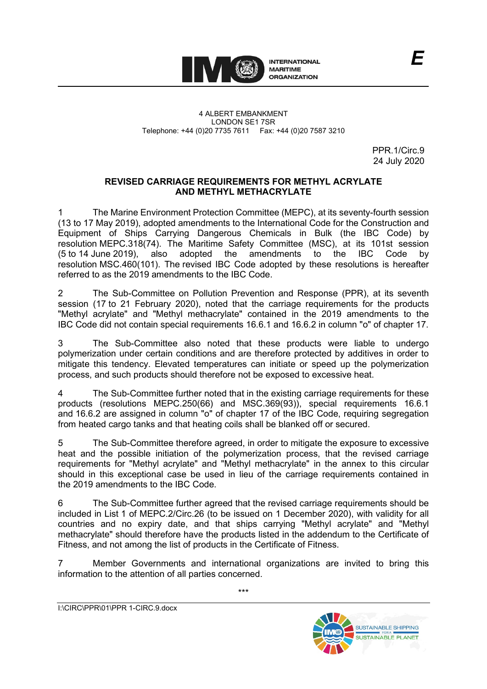

PPR. 1/Circ. 9 24 July 2020

## **REVISED CARRIAGE REQUIREMENTS FOR METHYL ACRYLATE AND METHYL METHACRYLATE**

1 The Marine Environment Protection Committee (MEPC), at its seventy-fourth session (13 to 17 May 2019), adopted amendments to the International Code for the Construction and Equipment of Ships Carrying Dangerous Chemicals in Bulk (the IBC Code) by resolution MEPC.318(74). The Maritime Safety Committee (MSC), at its 101st session (5 to 14 June 2019), also adopted the amendments to the IBC Code by resolution MSC.460(101). The revised IBC Code adopted by these resolutions is hereafter referred to as the 2019 amendments to the IBC Code.

2 The Sub-Committee on Pollution Prevention and Response (PPR), at its seventh session (17 to 21 February 2020), noted that the carriage requirements for the products "Methyl acrylate" and "Methyl methacrylate" contained in the 2019 amendments to the IBC Code did not contain special requirements 16.6.1 and 16.6.2 in column "o" of chapter 17.

3 The Sub-Committee also noted that these products were liable to undergo polymerization under certain conditions and are therefore protected by additives in order to mitigate this tendency. Elevated temperatures can initiate or speed up the polymerization process, and such products should therefore not be exposed to excessive heat.

4 The Sub-Committee further noted that in the existing carriage requirements for these products (resolutions MEPC.250(66) and MSC.369(93)), special requirements 16.6.1 and 16.6.2 are assigned in column "o" of chapter 17 of the IBC Code, requiring segregation from heated cargo tanks and that heating coils shall be blanked off or secured.

5 The Sub-Committee therefore agreed, in order to mitigate the exposure to excessive heat and the possible initiation of the polymerization process, that the revised carriage requirements for "Methyl acrylate" and "Methyl methacrylate" in the annex to this circular should in this exceptional case be used in lieu of the carriage requirements contained in the 2019 amendments to the IBC Code.

6 The Sub-Committee further agreed that the revised carriage requirements should be included in List 1 of MEPC.2/Circ.26 (to be issued on 1 December 2020), with validity for all countries and no expiry date, and that ships carrying "Methyl acrylate" and "Methyl methacrylate" should therefore have the products listed in the addendum to the Certificate of Fitness, and not among the list of products in the Certificate of Fitness.

7 Member Governments and international organizations are invited to bring this information to the attention of all parties concerned.